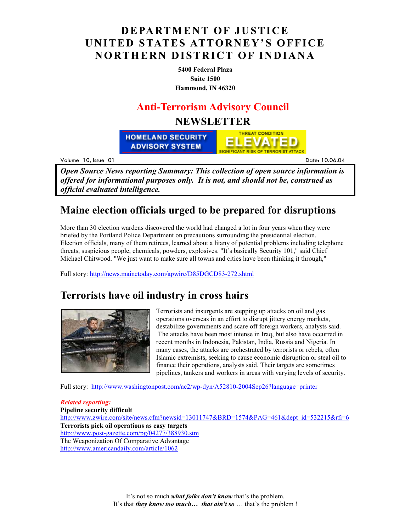## **DEPARTMENT OF JUSTICE UNITED STATES ATTORNEY'S OFFICE NORTHERN DISTRICT OF INDIANA**

**5400 Federal Plaza Suite 1500 Hammond, IN 46320**

### **Anti-Terrorism Advisory Council**

### **NEWSLETTER**

**THREAT CONDITION HOMELAND SECURITY ADVISORY SYSTEM** 

Volume 10. Issue 0

<u>Date:</u> 10 .06.04

*Open Source News reporting Summary: This collection of open source information is offered for informational purposes only. It is not, and should not be, construed as official evaluated intelligence.*

### **Maine election officials urged to be prepared for disruptions**

More than 30 election wardens discovered the world had changed a lot in four years when they were briefed by the Portland Police Department on precautions surrounding the presidential election. Election officials, many of them retirees, learned about a litany of potential problems including telephone threats, suspicious people, chemicals, powders, explosives. "It´s basically Security 101," said Chief Michael Chitwood. "We just want to make sure all towns and cities have been thinking it through,"

Full story: http://news.mainetoday.com/apwire/D85DGCD83-272.shtml

### **Terrorists have oil industry in cross hairs**



Terrorists and insurgents are stepping up attacks on oil and gas operations overseas in an effort to disrupt jittery energy markets, destabilize governments and scare off foreign workers, analysts said. The attacks have been most intense in Iraq, but also have occurred in recent months in Indonesia, Pakistan, India, Russia and Nigeria. In many cases, the attacks are orchestrated by terrorists or rebels, often Islamic extremists, seeking to cause economic disruption or steal oil to finance their operations, analysts said. Their targets are sometimes pipelines, tankers and workers in areas with varying levels of security.

Full story: http://www.washingtonpost.com/ac2/wp-dyn/A52810-2004Sep26?language=printer

*Related reporting:*  **Pipeline security difficult**  http://www.zwire.com/site/news.cfm?newsid=13011747&BRD=1574&PAG=461&dept\_id=532215&rfi=6 **Terrorists pick oil operations as easy targets**  http://www.post-gazette.com/pg/04277/388930.stm The Weaponization Of Comparative Advantage http://www.americandaily.com/article/1062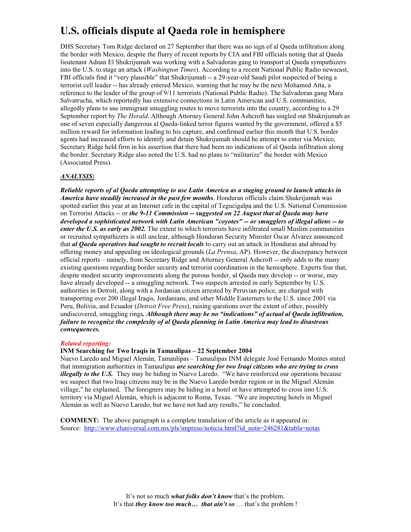# **U.S. officials dispute al Qaeda role in hemisphere**

DHS Secretary Tom Ridge declared on 27 September that there was no sign of al Qaeda infiltration along the border with Mexico, despite the flurry of recent reports by CIA and FBI officials noting that al Qaeda lieutenant Adnan El Shukrijumah was working with a Salvadoran gang to transport al Qaeda sympathizers into the U.S. to stage an attack (*Washington Times*). According to a recent National Public Radio newscast, FBI officials find it "very plausible" that Shukrijumah -- a 29-year-old Saudi pilot suspected of being a terrorist cell leader -- has already entered Mexico, warning that he may be the next Mohamed Atta, a reference to the leader of the group of 9/11 terrorists (National Public Radio). The Salvadoran gang Mara Salvatrucha, which reportedly has extensive connections in Latin American and U.S. communities, allegedly plans to use immigrant smuggling routes to move terrorists into the country, according to a 29 September report by *The Herald*. Although Attorney General John Ashcroft has singled out Shukrijumah as one of seven especially dangerous al Qaeda-linked terror figures wanted by the government, offered a \$5 million reward for information leading to his capture, and confirmed earlier this month that U.S. border agents had increased efforts to identify and detain Shukrijumah should he attempt to enter via Mexico, Secretary Ridge held firm in his assertion that there had been no indications of al Qaeda infiltration along the border. Secretary Ridge also noted the U.S. had no plans to "militarize" the border with Mexico (Associated Press).

#### *ANALYSIS:*

*Reliable reports of al Qaeda attempting to use Latin America as a staging ground to launch attacks in America have steadily increased in the past few months*. Honduran officials claim Shukrijumah was spotted earlier this year at an Internet cafe in the capital of Tegucigalpa and the U.S. National Commission on Terrorist Attacks -- or *the 9-11 Commission -- suggested on 22 August that al Qaeda may have developed a sophisticated network with Latin American "coyotes" -- or smugglers of illegal aliens -- to enter the U.S. as early as 2002*. The extent to which terrorists have infiltrated small Muslim communities or recruited sympathizers is still unclear, although Honduran Security Minister Óscar Álvarez announced that *al Qaeda operatives had sought to recruit locals* to carry out an attack in Honduras and abroad by offering money and appealing on ideological grounds (*La Prensa*, AP). However, the discrepancy between official reports – namely, from Secretary Ridge and Attorney General Ashcroft -- only adds to the many existing questions regarding border security and terrorist coordination in the hemisphere. Experts fear that, despite modest security improvements along the porous border, al Qaeda may develop -- or worse, may have already developed -- a smuggling network. Two suspects arrested in early September by U.S. authorities in Detroit, along with a Jordanian citizen arrested by Peruvian police, are charged with transporting over 200 illegal Iraqis, Jordanians, and other Middle Easterners to the U.S. since 2001 via Peru, Bolivia, and Ecuador (*Detroit Free Press*), raising questions over the extent of other, possibly undiscovered, smuggling rings*. Although there may be no "indications" of actual al Qaeda infiltration, failure to recognize the complexity of al Qaeda planning in Latin America may lead to disastrous consequences.* 

#### *Related reporting:*

**INM Searching for Two Iraqis in Tamaulipas – 22 September 2004** 

Nuevo Laredo and Miguel Alemán, Tamaulipas – Tamaulipas INM delegate José Fernando Montes stated that immigration authorities in Tamaulipas *are searching for two Iraqi citizens who are trying to cross illegally to the U.S.* They may be hiding in Nuevo Laredo. "We have reinforced our operations because we suspect that two Iraqi citizens may be in the Nuevo Laredo border region or in the Miguel Alemán village," he explained. The foreigners may be hiding in a hotel or have attempted to cross into U.S. territory via Miguel Alemán, which is adjacent to Roma, Texas. "We are inspecting hotels in Miguel Alemán as well as Nuevo Laredo, but we have not had any results," he concluded.

**COMMENT:** The above paragraph is a complete translation of the article as it appeared in: Source: http://www.eluniversal.com.mx/pls/impreso/noticia.html?id\_nota=246281&tabla=notas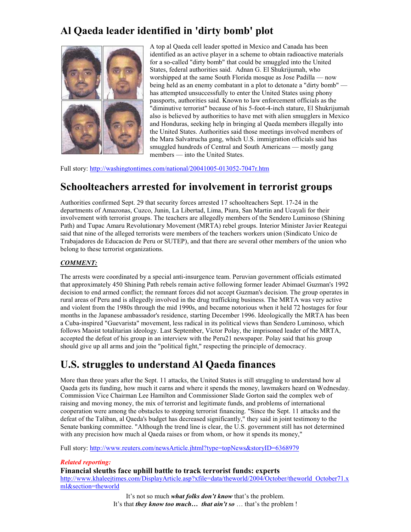# **Al Qaeda leader identified in 'dirty bomb' plot**



A top al Qaeda cell leader spotted in Mexico and Canada has been identified as an active player in a scheme to obtain radioactive materials for a so-called "dirty bomb" that could be smuggled into the United States, federal authorities said. Adnan G. El Shukrijumah, who worshipped at the same South Florida mosque as Jose Padilla — now being held as an enemy combatant in a plot to detonate a "dirty bomb" has attempted unsuccessfully to enter the United States using phony passports, authorities said. Known to law enforcement officials as the "diminutive terrorist" because of his 5-foot-4-inch stature, El Shukrijumah also is believed by authorities to have met with alien smugglers in Mexico and Honduras, seeking help in bringing al Qaeda members illegally into the United States. Authorities said those meetings involved members of the Mara Salvatrucha gang, which U.S. immigration officials said has smuggled hundreds of Central and South Americans — mostly gang members — into the United States.

Full story: http://washingtontimes.com/national/20041005-013052-7047r.htm

### **Schoolteachers arrested for involvement in terrorist groups**

Authorities confirmed Sept. 29 that security forces arrested 17 schoolteachers Sept. 17-24 in the departments of Amazonas, Cuzco, Junin, La Libertad, Lima, Piura, San Martin and Ucayali for their involvement with terrorist groups. The teachers are allegedly members of the Sendero Luminoso (Shining Path) and Tupac Amaru Revolutionary Movement (MRTA) rebel groups. Interior Minister Javier Reategui said that nine of the alleged terrorists were members of the teachers workers union (Sindicato Unico de Trabajadores de Educacion de Peru or SUTEP), and that there are several other members of the union who belong to these terrorist organizations.

### *COMMENT:*

The arrests were coordinated by a special anti-insurgence team. Peruvian government officials estimated that approximately 450 Shining Path rebels remain active following former leader Abimael Guzman's 1992 decision to end armed conflict; the remnant forces did not accept Guzman's decision. The group operates in rural areas of Peru and is allegedly involved in the drug trafficking business. The MRTA was very active and violent from the 1980s through the mid 1990s, and became notorious when it held 72 hostages for four months in the Japanese ambassador's residence, starting December 1996. Ideologically the MRTA has been a Cuba-inspired "Guevarista" movement, less radical in its political views than Sendero Luminoso, which follows Maoist totalitarian ideology. Last September, Victor Polay, the imprisoned leader of the MRTA, accepted the defeat of his group in an interview with the Peru21 newspaper. Polay said that his group should give up all arms and join the "political fight," respecting the principle of democracy.

## **U.S. struggles to understand Al Qaeda finances**

More than three years after the Sept. 11 attacks, the United States is still struggling to understand how al Qaeda gets its funding, how much it earns and where it spends the money, lawmakers heard on Wednesday. Commission Vice Chairman Lee Hamilton and Commissioner Slade Gorton said the complex web of raising and moving money, the mix of terrorist and legitimate funds, and problems of international cooperation were among the obstacles to stopping terrorist financing. "Since the Sept. 11 attacks and the defeat of the Taliban, al Qaeda's budget has decreased significantly," they said in joint testimony to the Senate banking committee. "Although the trend line is clear, the U.S. government still has not determined with any precision how much al Qaeda raises or from whom, or how it spends its money,"

Full story: http://www.reuters.com/newsArticle.jhtml?type=topNews&storyID=6368979

#### *Related reporting:*

**Financial sleuths face uphill battle to track terrorist funds: experts**

http://www.khaleejtimes.com/DisplayArticle.asp?xfile=data/theworld/2004/October/theworld\_October71.x ml&section=theworld

> It's not so much *what folks don't know* that's the problem. It's that *they know too much… that ain't so* … that's the problem !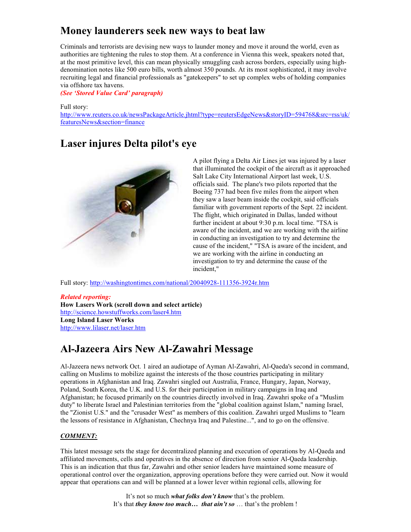## **Money launderers seek new ways to beat law**

Criminals and terrorists are devising new ways to launder money and move it around the world, even as authorities are tightening the rules to stop them. At a conference in Vienna this week, speakers noted that, at the most primitive level, this can mean physically smuggling cash across borders, especially using highdenomination notes like 500 euro bills, worth almost 350 pounds. At its most sophisticated, it may involve recruiting legal and financial professionals as "gatekeepers" to set up complex webs of holding companies via offshore tax havens.

*(See 'Stored Value Card' paragraph)* 

Full story:

http://www.reuters.co.uk/newsPackageArticle.jhtml?type=reutersEdgeNews&storyID=594768&src=rss/uk/ featuresNews&section=finance

## **Laser injures Delta pilot's eye**



A pilot flying a Delta Air Lines jet was injured by a laser that illuminated the cockpit of the aircraft as it approached Salt Lake City International Airport last week, U.S. officials said. The plane's two pilots reported that the Boeing 737 had been five miles from the airport when they saw a laser beam inside the cockpit, said officials familiar with government reports of the Sept. 22 incident. The flight, which originated in Dallas, landed without further incident at about 9:30 p.m. local time. "TSA is aware of the incident, and we are working with the airline in conducting an investigation to try and determine the cause of the incident," "TSA is aware of the incident, and we are working with the airline in conducting an investigation to try and determine the cause of the incident,"

Full story: http://washingtontimes.com/national/20040928-111356-3924r.htm

*Related reporting:*  **How Lasers Work (scroll down and select article)**  http://science.howstuffworks.com/laser4.htm **Long Island Laser Works**  http://www.lilaser.net/laser.htm

## **Al-Jazeera Airs New Al-Zawahri Message**

Al-Jazeera news network Oct. 1 aired an audiotape of Ayman Al-Zawahri, Al-Qaeda's second in command, calling on Muslims to mobilize against the interests of the those countries participating in military operations in Afghanistan and Iraq. Zawahri singled out Australia, France, Hungary, Japan, Norway, Poland, South Korea, the U.K. and U.S. for their participation in military campaigns in Iraq and Afghanistan; he focused primarily on the countries directly involved in Iraq. Zawahri spoke of a "Muslim duty" to liberate Israel and Palestinian territories from the "global coalition against Islam," naming Israel, the "Zionist U.S." and the "crusader West" as members of this coalition. Zawahri urged Muslims to "learn the lessons of resistance in Afghanistan, Chechnya Iraq and Palestine...", and to go on the offensive.

#### *COMMENT:*

This latest message sets the stage for decentralized planning and execution of operations by Al-Qaeda and affiliated movements, cells and operatives in the absence of direction from senior Al-Qaeda leadership. This is an indication that thus far, Zawahri and other senior leaders have maintained some measure of operational control over the organization, approving operations before they were carried out. Now it would appear that operations can and will be planned at a lower lever within regional cells, allowing for

> It's not so much *what folks don't know* that's the problem. It's that *they know too much… that ain't so* … that's the problem !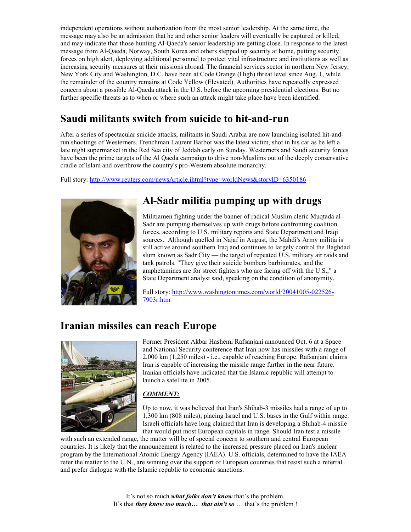independent operations without authorization from the most senior leadership. At the same time, the message may also be an admission that he and other senior leaders will eventually be captured or killed, and may indicate that those hunting Al-Qaeda's senior leadership are getting close. In response to the latest message from Al-Qaeda, Norway, South Korea and others stepped up security at home, putting security forces on high alert, deploying additional personnel to protect vital infrastructure and institutions as well as increasing security measures at their missions abroad. The financial services sector in northern New Jersey, New York City and Washington, D.C. have been at Code Orange (High) threat level since Aug. 1, while the remainder of the country remains at Code Yellow (Elevated). Authorities have repeatedly expressed concern about a possible Al-Qaeda attack in the U.S. before the upcoming presidential elections. But no further specific threats as to when or where such an attack might take place have been identified.

## **Saudi militants switch from suicide to hit-and-run**

After a series of spectacular suicide attacks, militants in Saudi Arabia are now launching isolated hit-andrun shootings of Westerners. Frenchman Laurent Barbot was the latest victim, shot in his car as he left a late night supermarket in the Red Sea city of Jeddah early on Sunday. Westerners and Saudi security forces have been the prime targets of the Al Qaeda campaign to drive non-Muslims out of the deeply conservative cradle of Islam and overthrow the country's pro-Western absolute monarchy.

Full story: http://www.reuters.com/newsArticle.jhtml?type=worldNews&storyID=6350186



# **Al-Sadr militia pumping up with drugs**

Militiamen fighting under the banner of radical Muslim cleric Muqtada al-Sadr are pumping themselves up with drugs before confronting coalition forces, according to U.S. military reports and State Department and Iraqi sources. Although quelled in Najaf in August, the Mahdi's Army militia is still active around southern Iraq and continues to largely control the Baghdad slum known as Sadr City — the target of repeated U.S. military air raids and tank patrols. "They give their suicide bombers barbiturates, and the amphetamines are for street fighters who are facing off with the U.S.," a State Department analyst said, speaking on the condition of anonymity.

Full story: http://www.washingtontimes.com/world/20041005-022526- 7903r.htm

### **Iranian missiles can reach Europe**



Former President Akbar Hashemi Rafsanjani announced Oct. 6 at a Space and National Security conference that Iran now has missiles with a range of 2,000 km (1,250 miles) - i.e., capable of reaching Europe. Rafsanjani claims Iran is capable of increasing the missile range further in the near future. Iranian officials have indicated that the Islamic republic will attempt to launch a satellite in 2005.

### *COMMENT:*

Up to now, it was believed that Iran's Shihab-3 missiles had a range of up to 1,300 km (808 miles), placing Israel and U.S. bases in the Gulf within range. Israeli officials have long claimed that Iran is developing a Shihab-4 missile that would put most European capitals in range. Should Iran test a missile

with such an extended range, the matter will be of special concern to southern and central European countries. It is likely that the announcement is related to the increased pressure placed on Iran's nuclear program by the International Atomic Energy Agency (IAEA). U.S. officials, determined to have the IAEA refer the matter to the U.N., are winning over the support of European countries that resist such a referral and prefer dialogue with the Islamic republic to economic sanctions.